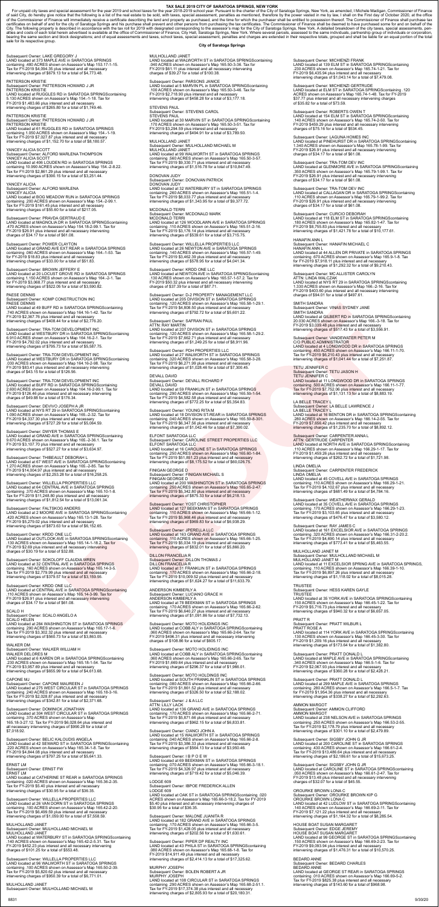TAX SALE 2019 CITY OF SARATOGA SPRINGS, NEW YORK<br>Tor unpaid city taxes and special assessment for the year 2019 and school taxes for the year 2019 and school taxes for the year 2018 and school taxes for the year by taxes o sale for its respective group.

# Subsequent Owner: LAKE GREGORY J<br>LAND located at 373 MAPLE AVE in SARATOGA SPRINGS<br>containing .480 ACRES shown on Assessor's Map 153.17-1-15.<br>Tax for FY-2019 \$4,094.35 plus interest and all necessary<br>intervening charges of

PATTERSON KRISTIE<br>Subsequent Owner: PATTERSON HOWARD J JR<br>PATTERSON KRISTIE<br>LAND located at RUGGLES RD in SARATOGA SPRINGScontaining<br>5.130 ACRES shown on Assessor's Map 154.-1-18. Tax for<br>FY-2019 \$1,483.66 plus interest an

PATTERSON KRISTIE<br>Subsequent Owner: PATTERSON HOWARD J JR<br>PATTERSON KRISTIE<br>LAND located at 61 RUGGLES RD in SARATO'S Map 154.-1-19.<br>containing 1.050 ACRES shown on Assessor's Map 154.-1-19.<br>Tax for FY-2019 \$7,027.87 plus

# YANCEY ALICIA SCOTT<br>Subsequent Owner: ALFORD MARLENA THOMPSON<br>YANCEY ALICIA SCOTT<br>LAND located at 406 LOUDEN RD in SARATOGA SPRINGS<br>containing 10.990 ACRES shown on Assessor's Map 154.-2-8.22.<br>Tax for FY-2019 \$2,861.29 plu

YANCEY ALICIA<br>Subsequent Owner: ALFORD MARLENA<br>YANCEY ALICIA<br>LAND located at BOG MEADOW RUN in SARATOGA SPRINGS<br>Containing .200 ACRES shown on Assessor's Map 154.-2-99.1.<br>Tax for FY-2019 \$161.45 plus interest and all neces

## **City of Saratoga Springs**

MULHOLLAND JANET<br>LAND located at WALWORTH ST in SARATOGA SPRINGScontaining<br>.040 ACRES shown on Assessor's Map 165.50-3-36. Tax for<br>.PY-2019 \$61.11 plus interest and all necessary intervening<br>charges of \$39.27 for a total o

Subsequent Owner: PARSONS JANICE<br>LAND located at 5 MARVIN PL in SARATOGA SPRINGScontaining<br>.100 ACRES shown on Assessor's Map 165.50-3-46. Tax for<br>FY-2019 \$2,718.90 plus interest and all necessary<br>intervening charges of \$4

Subsequent Owner: POWER CLAYTON<br>LAND located at GRAND AVE EXT REAR in SARATOGA SPRINGS<br>containing .060 ACRES shown on Assessor's Map 164.-1-53. Tax for FY-2019 \$18.83 plus interest and all necessary intervening charges of \$33.00 for a total of \$51.83.

## Subsequent Owner: BROWN JEFFERY F

Subsequent Owner: BROWN JEFFERY E<br>LAND located at 20 LOCUST GROVE RD in SARATOGA SPRINGS<br>containing 1.150 ACRES shown on Assessor's Map 164.-2-1. Tax<br>for FY-2019 \$3,068.77 plus interest and all necessary<br>intervening charge

## Subsequent Owner: PRAVDA GERTRAUD E

LAND located at MAGNOLIA DR in SARATOGA SPRINGScontaining .470 ACRES shown on Assessor's Map 154.18-2-99.1. Tax for FY-2019 \$26.91 plus interest and all necessary intervening charges of \$34.17 for a total of \$61.08.

## PAESE DENNIS

Subsequent Owner: KOMP CONSTRUCTION INC<br>PAESE DENNIS<br>LAND located at 49 BUFF RD in SARATOGA SPRINGScontaining

Subsequent Owner: DOMINICK JONATHAN<br>LAND located at 304 WEST CIRCULAR ST in SARATOGA SPRINGS<br>containing .370 ACRES shown on Assessor's Map<br>165.18-3-27.12. Tax for FY-2019 \$6,028.64 plus interest and<br>all necessary interveni \$7,018.92.

Subsequent Owner: BELIC KALOUDIS ANGELA<br>LAND located at 42 SEWARD ST in SARATOGA SPRINGScontaining<br>.220 ACRES shown on Assessor's Map 165.34-1-8. Tax for<br>FY-2019 \$4,844.08 plus interest and all necessary<br>intervening charge

.740 ACRES shown on Assessor's Map 164.16-1-42. Tax for FY-2019 \$2,367.76 plus interest and all necessary intervening charges of \$408.44 for a total of \$2,776.20.

Subsequent Owner: TRA-TOM DEVELOPMENT INC<br>LAND located at WESTBURY DR in SARATOGA SPRINGScontaining<br>6.910 ACRES shown on Assessor's Map 164.16-2-1. Tax for<br>FY-2019 \$4,792.02 plus interest and all necessary<br>intervening char

Subsequent Owner: TRA-TOM DEVELOPMENT INC<br>LAND located at WESTBURY DR in SARATOGA SPRINGScontaining<br>.030 ACRES shown on Assessor's Map 164.16-2-98. Tax for<br>FY-2019 \$83.41 plus interest and all necessary intervening<br>charges

Subsequent Owner: TRA-TOM DEVELOPMENT INC<br>LAND located at BUFF RD in SARATOGA SPRINGScontaining<br>2.600 ACRES shown on Assessor's Map 164.16-2-99.1. Tax for<br>FY-2019 \$126.46 plus interest and all necessary intervening<br>charges

Subsequent Owner: DEVIVO JOSEPH A JR<br>LAND located at NYS RT 29 in SARATOGA SPRINGScontaining<br>1.090 ACRES shown on Assessor's Map 165.-2-32. Tax for<br>FY-2019 \$4,337.30 plus interest and all necessary<br>intervening charges of \$

Subsequent Owner: DWYER THOMAS E<br>LAND located at GRAND AVE in SARATOGA SPRINGScontaining<br>9.670 ACRES shown on Assessor's Map 165.-2-36.1. Tax for<br>FY-2019 \$3,107.70 plus interest and all necessary<br>intervening charges of \$52

Subsequent Owner: THIBEAULT DEBORAH L<br>LAND located at 67 WEST AVE in SARATOGA SPRINGScontaining<br>1.270 ACRES shown on Assessor's Map 165.-2-85. Tax for<br>FY-2019 \$14,004.97 plus interest and all necessary<br>intervening charges

Subsequent Owner: WILLELLA PROPERTIES LLC<br>LAND located at 64 CENTRAL AVE in SARATOGA SPRINGS<br>containing .370 ACRES shown on Assessor's Map 165.10-1-8.<br>Tax for FY-2019 \$11,248.80 plus interest and all necessary<br>intervening

Subsequent Owner: FALTSKOG ANDERS<br>LAND located at 2 MOORE AVE in SARATOGA SPRINGScontaining<br>.420 ACRES shown on Assessor's Map 165.13-1-28. Tax for<br>FY-2019 \$5,279.02 plus interest and all necessary<br>intervening charges of \$

Subsequent Owner: KRDD ONE LLC<br>LAND located at OUTLOOK AVE in SARATOGA SPRINGScontaining<br>.130 ACRES shown on Assessor's Map 165.14-1-18.2. Tax for<br>FY-2019 \$2.69 plus interest and all necessary intervening

MULHOLLAND JANET<br>Subsequent Owner: MULHOLLAND MICHAEL M<br>MULHOLLAND JANET LAND located at WATERBURY ST in SARATOGA SPRINGScontaining<br>.140 ACRES shown on Assessor's Map 165.42-2-5.31. Tax for<br>FY-2019 \$452.23 plus interest and all necessary intervening charges of \$101.25 for a total of \$553.48.

Subsequent Owner: MULHOLLAND MICHAEL M MULHOLLAND JANET LAND located at 99 WALWORTH ST in SARATOGA SPRINGS containing .560 ACRES shown on Assessor's Map 165.50-3-57.<br>Tax for FY-2019 \$9,330.71 plus interest and all necessary<br>intervening charges of \$1,516.78 for a total of \$10,847.49.

Subsequent Owner: DONOVAN PATRICK<br>DONOVAN JUDY<br>LAND located at 32 WATERBURY ST in SARATOGA SPRINGS containing .260 ACRES shown on Assessor's Map 165.51-1-4. Tax for FY-2019 \$8,033.77 plus interest and all necessary intervening charges of \$1,343.95 for a total of \$9,377.72.

MCDONALD TERRI<br>Subsequent Owner: MCDONALD MARK<br>MCDONALD TERRI LAND located at 126 WOODLAWN AVE in SARATOGA SPRINGS<br>containing .110 ACRES shown on Assessor's Map 165.51-2-16.<br>Tax for FY-2019 \$3,176.14 plus interest and all necessary<br>intervening charges of \$539.61 for a total of \$3,715

Subsequent Owner: WILLELLA PROPERTIES LLC<br>LAND located at 26 NEWTON AVE in SARATOGA SPRINGS<br>containing .140 ACRES shown on Assessor's Map 165.57-1-49.<br>Tax for FY-2019 \$3,462.39 plus interest and all necessary<br>intervening c

charges of \$30.19 for a total of \$32.88.

Subsequent Owner: SOKOLOFF CLAUDIA WREN<br>LAND located at 32 CENTRAL AVE in SARATOGA SPRINGS<br>containing .160 ACRES shown on Assessor's Map 165.14-3-5.<br>Tax for FY-2019 \$2,779.99 plus interest and all necessary<br>intervening cha

Subsequent Owner: KRDD ONE LLC<br>LAND located at CENTRAL AVE in SARATOGA SPRINGScontaining<br>.110 ACRES shown on Assessor's Map 165.14-3-99. Tax for<br>FY-2019 \$26.91 plus interest and all necessary intervening<br>charges of \$34.17

## SCALO H

Subsequent Owner: SCALO ANGELO A<br>SCALO HELEN SCALO HELEN<br>LAND located at 284 WASHINGTON ST in SARATOGA SPRINGS<br>containing .290 ACRES shown on Assessor's Map 165.17-1-6.<br>Tax for FY-2019 \$3,302.32 plus interest and all necessary<br>intervening charges of \$560.73 for a tot

WALKER DM

WALKER DM<br>Subsequent Owner: WALKER WILLIAM H<br>WALKER DELORES M WALKER DELORES M<br>LAND located at 6 KAREN DR in SARATOGA SPRINGScontaining<br>L230 ACRES shown on Assessor's Map 165.18-1-54. Tax for<br>FY-2019 \$3,957.69 plus interest and all necessary<br>intervening charges of \$655.99 for a total

CAPONE MJ<br>Subsequent Owner: CAPONE MAUREEN J<br>LAND located at 275 WEST CIRCULAR ST in SARATOGA SPRINGS<br>containing .240 ACRES shown on Assessor's Map 165.18-3-16.<br>Tax for FY-2019 \$2,028.87 plus interest and all necessary<br>int

ERNST LM Subsequent Owner: ERNST FW ERNST LM LAND located at CATHERINE ST REAR in SARATOGA SPRINGS containing .020 ACRES shown on Assessor's Map 165.36-2-35. Tax for FY-2019 \$5.40 plus interest and all necessary intervening charges of \$30.95 for a total of \$36.35.

> MURPHY JOSEPH Subsequent Owner: BOLEN ROBERT A JR MURPHY JOSEPH<br>LAND located at 108 CIRCULAR ST in SARATOGA SPRINGS<br>containing .290 ACRES shown on Assessor's Map 165.68-2-51.1.<br>Tax for FY-2019 \$17,374.38 plus interest and all necessary<br>intervening charges of \$2,805.93 for

 Subsequent Owner: WILLELLA PROPERTIES LLC LAND located at 26 VAN DORN ST in SARATOGA SPRINGS containing .100 ACRES shown on Assessor's Map 165.42-2-20. Tax for FY-2019 \$6,499.59 plus interest and all necessary intervening charges of \$1,059.00 for a total of \$7,558.59.

# Subsequent Owner: MICHIENZI GERTRUDE<br>LAND located at ELM ST in SARATOGA SPRINGScontaining .120<br>ACRES shown on Assessor's Map 165.74-1-48. Tax for FY-2019<br>\$37.77 plus interest and all necessary intervening charges of \$35.82 for a total of \$73.59.

Subsequent Owner: ROBERTS OWEN T<br>LAND located at 154 ELM ST in SARATOGA SPRINGScontaining<br>.140 ACRES shown on Assessor's Map 165.74-2-50. Tax for<br>FY-2019 \$459.29 plus interest and all necessary intervening charges of \$75.16 for a total of \$534.45.

Subsequent Owner: TRA-TOM DEV INC<br>LAND located at GLENMORE AVE in SARATOGA SPRINGScontaining<br>.350 ACRES shown on Assessor's Map 165.79-1-99.1. Tax for<br>FY-2019 \$26.91 plus interest and all necessary intervening charges of \$34.17 for a total of \$61.08.

Subsequent Owner: TRA-TOM DEV INC<br>LAND located at CALLAGAN DR in SARATOGA SPRINGScontaining<br>.110 ACRES shown on Assessor's Map 165.79-1-99.2. Tax for<br>FY-2019 \$26.91 plus interest and all necessary intervening<br>charges of \$3

Subsequent Owner: CURCIO DEBORAH<br>LAND located at 118 ELM ST in SARATOGA SPRINGScontaining<br>.180 ACRES shown on Assessor's Map 165.82-1-47. Tax for<br>FY-2019 \$8,755.83 plus interest and all necessary<br>intervening charges of \$1,

 Subsequent Owner: WILLELLA PROPERTIES LLC LAND located at 96 WALWORTH ST in SARATOGA SPRINGS<br>containing .100 ACRES shown on Assessor's Map 165.50-2-39.<br>Tax for FY-2019 \$5,820.62 plus interest and all necessary intervening charges of \$950.39 for a total of \$6,771.01.

 MULHOLLAND JANET Subsequent Owner: MULHOLLAND MICHAEL M

LAND located at 44 ALLEN DR PRIVATE in SARATOGA SPRINGS containing .670 ACRES shown on Assessor's Map 165.9-1-8. Tax<br>for FY-2019 \$7,918.11 plus interest and all necessary<br>intervening charges of \$1,292.32 for a total of \$9,210.43.

Subsequent Owner: MC ALLISTER CAROLYN<br>ATTN: LINDA WALCZAK<br>LAND located at NYS RT 29 in SARATOGA SPRINGScontaining<br>1.330 ACRES shown on Assessor's Map 166.-2-16. Tax for<br>FY-2019 \$403.60 plus interest and all necessary inter

STEVENS PAUL Subsequent Owner: STEVENS CAROL STEVENS PAUL

# LAND located at 30 MARVIN ST in SARATOGA SPRINGScontaining .170 ACRES shown on Assessor's Map 165.50-3-51. Tax for FY-2019 \$3,294.59 plus interest and all necessary intervening charges of \$494.91 for a total of \$3,789.50.

## MULHOLLAND JANET

LAND located at 16 BENTON DR in SARATOGA SPRINGScontaining<br>.280 ACRES shown on Assessor's Map 166.14-2-55. Tax for<br>FY-2019 \$7,656.42 plus interest and all necessary intervening charges of \$1,235.70 for a total of \$8,892.12.

Subsequent Owner: CARPENTER ANNA L<br>ATTN: GERTRUDE CARPENTER<br>LAND located at NORTH AVE in SARATOGA SPRINGScontaining<br>.110 ACRES shown on Assessor's Map 166.29-1-17. Tax for<br>FY-2019 \$1,459.26 plus interest and all necessary<br>

LINDA OMELIA<br>Subsequent Owner: CARPENTER FREDERICK<br>LINDA OMELIA

LAND located at 45 COVELL AVE in SARATOGA SPRINGS<br>containing .110 ACRES shown on Assessor's Map 166.29-1-21.<br>Tax for FY-2019 \$4,102.67 plus interest and all necessary<br>intervening charges of \$681.49 for a total of \$4,784.16

Subsequent Owner: WEATHERWAX GERALD<br>LAND located at 35 COVELL AVE in SARATOGA SPRINGS<br>containing .170 ACRES shown on Assessor's Map 166.29-1-23.<br>Tax for FY-2019 \$3,103.65 plus interest and all necessary<br>intervening charges

# DONOVAN JUDY

MULHOLLAND JANET M Subsequent Owner: MULHOLLAND MICHAEL M<br>MULHOLLAND JANET M<br>LAND located at 11 EXCELSIOR SPRING AVE in SARATOGA SPRINGS, containing .110 ACRES shown on Assessor's Map 166.39-1-10.<br>Tax for FY-2019 \$6,897.26 plus interest and all necessary<br>intervening charges of \$1,118.02 for a total of \$8,015.28.

 TRUSTEE Subsequent Owner: HESS KAREN GAYLE TRUSTEE LAND located at 35 YORK AVE in SARATOGA SPRINGScontaining<br>.150 ACRES shown on Assessor's Map 166.45-1-22. Tax for<br>FY-2019 \$5,716.73 plus interest and all necessary<br>intervening charges of \$940.32 for a total of \$6,657.05.

## **DDATT D**

PRATT R<br>Subsequent Owner: PRATT WILBUR L<br>PRATT ROSE A<br>LAND located at 114 YORK AVE in SARATOGA SPRINGScontaining<br>.130 ACRES shown on Assessor's Map 166.45-3-30. Tax for<br>FY-2019 \$1,209.16 plus interest and all necessary<br>int

Subsequent Owner: PRATT DONALD L<br>LAND located at MAPLE AVE in SARATOGA SPRINGScontaining<br>.340 ACRES shown on Assessor's Map 166.5-1-6. Tax for<br>FY-2019 \$2,067.93 plus interest and all necessary<br>intervening charges of \$360.2

Subsequent Owner: PRATT DONALD L<br>LAND located at 299 MAPLE AVE in SARATOGA SPRINGS<br>containing .280 ACRES shown on Assessor's Map 166.5-1-7. Tax<br>for FY-2019 \$1,954.36 plus interest and all necessary<br>intervening charges of \$

## Subsequent Owner: KRDD ONE LLC

LAND located at NEWTON AVE in SARATOGA SPRINGScontaining<br>.130 ACRES shown on Assessor's Map 165.57-1-57.2. Tax for<br>FY-2019 \$50.32 plus interest and all necessary intervening<br>charges of \$37.39 for a total of \$87.71.

Subsequent Owner: D-2 PROPERTY MANAGEMENT LLC<br>LAND located at 205 DIVISION ST in SARATOGA SPRINGS<br>containing .120 ACRES shown on Assessor's Map 165.58-1-29.1.<br>Tax for FY-2019 \$4,808.50 plus interest and all necessary<br>inter

## Subsequent Owner: SAFRAN PAUL

ATTN: RAY MARTIN<br>LAND located at 207 DIVISION ST in SARATOGA SPRINGS containing .120 ACRES shown on Assessor's Map 165.58-1-29.2.<br>Tax for FY-2019 \$7,662.71 plus interest and all necessary<br>intervening charges of \$1,249.25 for a total of \$8,911.96.

# Subsequent Owner: PDH PROPERTIES LLC<br>LAND located at 27 WALWORTH ST in SARATOGA SPRINGS<br>containing .320 ACRES shown on Assessor's Map 165.58-3-28.<br>Tax for FY-2019 \$6,271.99 plus interest and all necessary<br>intervening charg

# DEVALL DAVID Subsequent Owner: DEVALL RICHARD F DEVALL DAVID

LAND located at 59 FRANKLIN ST in SARATOGA SPRINGS<br>containing .290 ACRES shown on Assessor's Map 165.59-1-54.<br>Tax for FY-2019 \$4,582.58 plus interest and all necessary<br>intervening charges of \$772.25 for a total of \$5,354.8

# Subsequent Owner: YOUNG RITA M LAND located at 18 DIVISION ST-REAR in SARATOGA SPRINGS<br>containing .040 ACRES shown on Assessor's Map 165.59-8-301.<br>Tax for FY-2019 \$6,347.56 plus interest and all necessary intervening charges of \$1,042.46 for a total of \$7,390.02.

## ELFONT SARATOGA LLC

ELFONT SARATOGA LLC<br>Subsequent Ower: CAROLINE STREET PROPERTIES LLC<br>ELFONT SARATOGA LLC<br>LAND located at 16 CAROLINE ST in SARATOGA SPRINGS<br>containing .250 ACRES shown on Assessor's Map 165.60-1-84.<br>Tax for FY-2019 \$51,851.

FINIGAN GEORGE D<br>Subsequent Owner: FINIGAN MICHAEL S<br>FINIGAN GEORGE D<br>LAND located at 200 WASHINGTON ST in SARATOGA SPRINGS<br>containing .250 ACRES shown on Assessor's Map 165.65-2-47.<br>Tax for FY-2019 \$5,342.80 plus interest

Subsequent Owner: YOST CHRISTOPHER<br>LAND located at 127 BEEKMAN ST in SARATOGA SPRINGS<br>containing .110 ACRES shown on Assessor's Map 165.66-1-12.<br>Tax for FY-2019 \$5,968.46 plus interest and all necessary<br>intervening charges

Subsequent Owner: JPERELLA LLC<br>LAND located at 163 GRAND AVE in SARATOGA SPRINGS<br>containing .110 ACRES shown on Assessor's Map 165.66-1-25.<br>Tax for FY-2019 \$5,034.19 plus interest and all necessary<br>intervening charges of \$

Subsequent Owner: MICHIENZI FRANK<br>LAND located at 139 ELM ST in SARATOGA SPRINGScontaining<br>.230 ACRES shown on Assessor's Map 165.74-1-21. Tax for<br>FY-2019 \$6,435.94 plus interest and all necessary<br>intervening charges of \$1

 DILLON FRANCELIA R Subsequent Owner: DILLON THOMAS J DILLON FRANCELIA R LAND located at 31 FRANKLIN ST in SARATOGA SPRINGS<br>containing .170 ACRES shown on Assessor's Map 165.66-2-18.<br>Tax for FY-2019 \$10,009.52 plus interest and all necessary intervening charges of \$1,624.27 for a total of \$11,633.79.

 ANDERSON KIMBERLY A Subsequent Owner: LUCIANO GRACE H ANDERSON KIMBERLY A LAND located at 78 BEEKMAN ST in SARATOGA SPRINGS containing .170 ACRES shown on Assessor's Map 165.66-2-62. Tax for FY-2019 \$6,640.27 plus interest and all necessary intervening charges of \$1,091.86 for a total of \$7,732.13.

 Subsequent Owner: MOTO HOLIDINGS INC LAND located at COBB ALY in SARATOGA SPRINGScontaining .060 ACRES shown on Assessor's Map 165.66-2-64. Tax for FY-2019 \$496.31 plus interest and all necessary intervening charges of \$108.86 for a total of \$605.17.

 Subsequent Owner: MOTO HOLIDINGS INC LAND located at COBB ALY in SARATOGA SPRINGScontaining .060 ACRES shown on Assessor's Map 165.66-2-65. Tax for FY-2019 \$1,669.64 plus interest and all necessary intervening charges of \$296.37 for a total of \$1,966.01.

 Subsequent Owner: MOTO HOLDINGS INC LAND located at SOUTH FRANKLIN ST in SARATOGA SPRINGS containing .080 ACRES shown on Assessor's Map 165.66-2-66. Tax for FY-2019 \$1,861.52 plus interest and all necessary intervening charges of \$326.50 for a total of \$2,188.02.

# Subsequent Owner: J & A LLC

ATTN: LILLY LACK<br>LAND located at 136 GRAND AVE in SARATOGA SPRINGS<br>containing .170 ACRES shown on Assessor's Map 165.66-2-71.<br>Tax for FY-2019 \$5,871.66 plus interest and all necessary<br>intervening charges of \$962.15 for a t

Subsequent Owner: CIANCI JOHN A<br>LAND located at 15 WALWORTH ST in SARATOGA SPRINGS<br>containing .040 ACRES shown on Assessor's Map 165.66-2-8.<br>Tax for FY-2019 \$3,386.33 plus interest and all necessary<br>intervening charges of

Subsequent Owner: I B P O E W<br>LAND located at 69 BEEKMAN ST in SARATOGA SPRINGS<br>containing .070 ACRES shown on Assessor's Map 165.66-3-18.1.<br>Tax for FY-2019 \$4,326.97 plus interest and all necessary<br>intervening charges of

LODGE 609 Subsequent Owner: IBPOE FREDERICK ALLEN LODGE 609 LAND located at OAK ST in SARATOGA SPRINGScontaining .020 ACRES shown on Assessor's Map 165.66-3-18.2. Tax for FY-2019 \$5.40 plus interest and all necessary intervening charges of \$30.95 for a total of \$36.35.

 Subsequent Owner: MALONE JUANITA R LAND located at 182 GRAND AVE in SARATOGA SPRINGS containing .170 ACRES shown on Assessor's Map 165.66-3-5. Tax for FY-2019 \$1,428.05 plus interest and all necessary intervening charges of \$202.56 for a total of \$1,630.61.

 Subsequent Owner: PIPER DP REALTY INC LAND located at 43 PHILA ST in SARATOGA SPRINGScontaining .080 ACRES shown on Assessor's Map 165.68-1-8. Tax for FY-2019 \$14,911.49 plus interest and all necessary intervening charges of \$2,414.13 for a total of \$17,325.62.

 Subsequent Owner: LAGUNA HOMES INC LAND located at PINEHURST DR in SARATOGA SPRINGScontaining 1.340 ACRES shown on Assessor's Map 165.78-1-99. Tax for FY-2019 \$26.91 plus interest and all necessary intervening charges of \$34.17 for a total of \$61.08.

# HANAFIN ANN L

Subsequent Owner: HANAFIN MICHAEL C HANAFIN ANN L

## SMITH SANDRA

Subsequent Owner: VINAS SYDNEY JANE<br>SMITH SANDRA<br>LAND located at GILBERT RD in SARATOGA SPRINGScontaining<br>20.030 ACRES shown on Assessor's Map 166.-3-18. Tax for<br>FY-2019 \$3,039.48 plus interest and all necessary<br>intervenin

Subsequent Owner: VANDEWATER PETER M<br>C/O PUBLIC ADMINISTRATOR<br>LAND located at 4 LONGWOOD DR in SARATOGA SPRINGS<br>containing .450 ACRES shown on Assessor's Map 166.11-1-70.<br>Tax for FY-2019 \$6,210.43 plus interest and all nec

# TETU JENNIFER C<br>Subsequent Owner: TETU JASON H<br>TETU JENNIFER C<br>LAND located at 11 LONGWOOD DR in SARATOGA SPRINGS<br>containing .500 ACRES shown on Assessor's Map 166.11-1-77.<br>Tax for FY-2019 \$7,752.06 plus interest and all n

# LA BELLE TRACEY L<br>Subsequent Owner: LA BELLE LAWRENCE J<br>LA BELLE TRACEY L

# Subsequent Owner: RAY JAMES C

LAND located at 161 EXCELSIOR AVE in SARATOGA SPRINGS<br>containing .320 ACRES shown on Assessor's Map 166.31-2-20.2.<br>Tax for FY-2019 \$4,690.14 plus interest and all necessary<br>intervening charges of \$773.41 for a total of \$5,

## AMMON MARGOT

Subsequent Owner: AMMON CLIFFORD<br>AMMON MARGOT<br>LAND located at 238 NELSON AVE in SARATOGA SPRINGS containing .250 ACRES shown on Assessor's Map 166.53-2-55.<br>Tax for FY-2019 \$2,178.79 plus interest and all necessary<br>intervening charges of \$301.10 for a total of \$2,479.89.

Subsequent Owner: SIGSBY JOHN G JR<br>LAND located at 200 CAROLINE ST in SARATOGA SPRINGS<br>containing .430 ACRES shown on Assessor's Map 166.61-2-4.<br>Tax for FY-2019 \$13,486.64 plus interest and all necessary<br>intervening charge

Subsequent Owner: SIGSBY JOHN G JR LAND located at CAROLINE ST in SARATOGA SPRINGScontaining

.050 ACRES shown on Assessor's Map 166.61-2-47. Tax for FY-2019 \$13.48 plus interest and all necessary intervening charges of \$32.07 for a total of \$45.55.

 OROURKE BROWN LONA C Subsequent Owner: OROURKE BROWN KIP G OROURKE BROWN LONA C<br>LAND located at 42 LUDLOW ST in SARATOGA SPRINGScontaining<br>.140 ACRES shown on Assessor's Map 166.69-2-11. Tax for FY-2019 \$7,121.22 plus interest and all necessary intervening charges of \$1,164.32 for a total of \$8,285.54.

 HOUSE BOAT SUSAN MARGARET Subsequent Owner: EDGE JEREMY HOUSE BOAT SUSAN MARGARET LAND located at 99 GEORGE ST in SARATOGA SPRINGScontaining .150 ACRES shown on Assessor's Map 166.69-2-23. Tax for FY-2019 \$9,093.94 plus interest and all necessary intervening charges of \$1,476.31 for a total of \$10,570.25.

## **BEDARD ANNE**

BEDARD ANNE Subsequent Owner: BEDARD CHARLES BEDARD ANNE LAND located at GEORGE ST REAR in SARATOGA SPRINGS containing .010 ACRES shown on Assessor's Map 166.69-5-2. Tax for FY-2019 \$825.38 plus interest and all necessary intervening charges of \$143.60 for a total of \$968.98.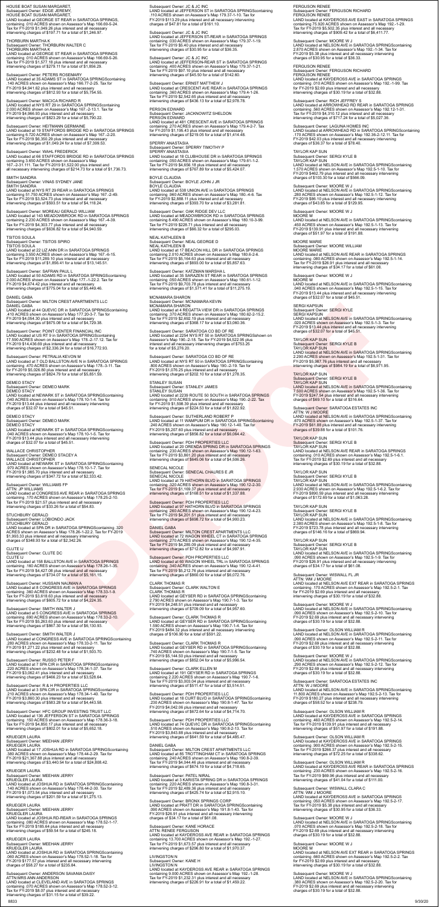# HOUSE BOAT SUSAN MARGARET,<br>Subsequent Owner: EDGE JEREMY,<br>HOUSE BOAT SUSAN MARGARET,<br>LAND located at GEORGE ST REAR in SARATOGA SPRINGS,<br>containing .010 ACRES shown on Assessor's Map 166.69-5-24.<br>Tax for FY-2019 \$1,049.26

THORBLIRN MARTHA K

THORBURN MARTHA K<br>Subsequent Owner: THORBURN WALTER C<br>THORBURN MARTHA K<br>LAND located at GEORGE ST REAR in SARATOGA SPRINGS<br>containing .010 ACRES shown on Assessor's Map 166.69-5-26.<br>Tax for FY-2019 \$1,577.18 plus interest

# Subsequent Owner: PETERS ROSEMARY<br>LAND located at 35 ADAMS ST in SARATOGA SPRINGScontaining<br>.140 ACRES shown on Assessor's Map 166.77-2-25. Tax for<br>FY-2019 \$4,941.62 plus interest and all necessary<br>intervening charges of \$

Subsequent Owner: MACICA RICHARD R<br>LAND located at NYS RT 29 in SARATOGA SPRINGScontaining<br>2.000 ACRES shown on Assessor's Map 167.-2-13.1. Tax for<br>FY-2019 \$4,966.93 plus interest and all necessary<br>intervening charges of \$

Subsequent Owner: HEITMANN GERMAINE<br>LAND located at 19 STAFFORDS BRIDGE RD in SARATOGA SPRINGS<br>containing 6.720 ACRES shown on Assessor's Map 167.-2-20.<br>Tax for FY-2019 \$6,350.29 plus interest and all necessary<br>intervening

Subsequent Owner: WAHL FREDERICK<br>LAND located at 66 STAFFORDS BRIDGE RD in SARATOGA SPRINGS<br>containing 3.650 ACRES shown on Assessor's Map<br>167.-2-31.111. Tax for FY-2019 \$1,522.00 plus interest and<br>all necessary intervenin

# SMITH SANDRA

Subsequent Owner: VINAS SYDNEY JANE SMITH SANDRA<br>LAND located at NYS RT 29 REAR in SARATOGA SPRINGS<br>containing 51.750 ACRES shown on Assessor's Map 167.-2-49.<br>Tax for FY-2019 \$3,524.73 plus interest and all necessary<br>intervening charges of \$593.51 for a tota

Subsequent Owner: MOREAU GERALD WILLIAM<br>LAND located at 143 MEADOWBROOK RD in SARATOGA SPRINGS<br>containing 2.230 ACRES shown on Assessor's Map 167.-4-39.<br>Tax for FY-2019 \$4,303.77 plus interest and all necessary<br>intervening

 DEMEO STACY Subsequent Owner: DEMEO MARK DEMEO STACY<br>LAND located at NEWARK ST in SARATOGA SPRINGScontaining<br>.040 ACRES shown on Assessor's Map 178.10-1-4. Tax for<br>FY-2019 \$13.44 plus interest and all necessary intervening<br>charges of \$32.07 for a total of \$45.51.

TSITOS SOULA Subsequent Owner: TSITOS SPIRO TSITOS SOULA

LAND located at 22 LIZ ANN DR in SARATOGA SPRINGS<br>containing 3.550 ACRES shown on Assessor's Map 167.-6-15.<br>Tax for FY-2019 \$11,289.10 plus interest and all necessary<br>intervening charges of \$1,856.41 for a total of \$13,145

Subsequent Owner: SAFRAN PAUL L<br>LAND located at 50 ADAMS RD in SARATOGA SPRINGScontaining<br>2.000 ACRES shown on Assessor's Map 177.-1-22.2. Tax for<br>FY-2019 \$4,674.42 plus interest and all necessary<br>intervening charges of \$7

# **DANIEL GABA**

DANIEL GABA<br>Subsequent Owner: MILTON CREST APARTMENTS LLC<br>DANIEL GABA<br>LAND located at 44 QUEVIC DR in SARATOGA SPRINGScontaining<br>.410 ACRES shown on Assessor's Map 177.20-3-7. Tax for<br>FY-2019 \$4,054.30 plus interest and al

Subsequent Owner: POINT CENTER FINANCIAL INC<br>LAND located at US RT 9 in SARATOGA SPRINGScontaining<br>17.590 ACRES shown on Assessor's Map 178.-2-17.12. Tax for<br>FY-2019 \$14,436.69 plus interest and all necessary<br>intervening c

Subsequent Owner: PETRALIA KEVON M<br>LAND located at 7 OLD BALLSTON AVE N in SARATOGA SPRINGS<br>containing .470 ACRES shown on Assessor's Map 178.-3-11. Tax<br>for FY-2019 \$5,026.80 plus interest and all necessary<br>intervening cha

Subsequent Owner: SMITH WALTER J<br>LAND located at 5 CONGRESS AVE in SARATOGA SPRINGS<br>containing .690 ACRES shown on Assessor's Map 178.33-2-10. Tax for FY-2019 \$5,263.63 plus interest and all necessary intervening charges of \$867.30 for a total of \$6,130.93.

Subsequent Owner: SMITH WALTER J<br>LAND located at CONGRESS AVE in SARATOGA SPRINGScontaining<br>.280 ACRES shown on Assessor's Map 178.33-2-11. Tax for<br>FY-2019 \$1,271.22 plus interest and all necessary<br>intervening charges of \$

**KRUEGER LAURA** KRUEGER LAURA Subsequent Owner: MEEHAN JERRY KRUEGER LAURA LAND located at 17 JOSHUA RD in SARATOGA SPRINGScontaining<br>.380 ACRES shown on Assessor's Map 178.44-2-29. Tax for<br>FY-2019 \$21,367.88 plus interest and all necessary intervening charges of \$3,440.54 for a total of \$24,808.42.

 Subsequent Owner: ANDERSON SAVANIA DAISY ATTN:MRS ANN ANDERSON LAND located at CLEVELAND AVE in SARATOGA SPRINGS containing .070 ACRES shown on Assessor's Map 178.52-3-12.<br>Tax for FY-2019 \$8.07 plus interest and all necessary<br>intervening charges of \$31.15 for a total of \$39.22.

# DEMEO STACY Subsequent Owner: DEMEO MARK DEMEO STACY LAND located at NEWARK ST in SARATOGA SPRINGScontaining<br>.040 ACRES shown on Assessor's Map 178.10-1-5. Tax for<br>FY-2019 \$13.44 plus interest and all necessary intervening charges of \$32.07 for a total of \$45.51.

**WALLACE CHRISTOPHER** WALLACE CHRISTOPHER<br>Subsequent Owner: DEMEO STACEY A<br>WALLACE CHRISTOPHER<br>LAND located at NEWARK ST in SARATOGA SPRINGScontaining<br>.970 ACRES shown on Assessor's Map 178.10-1-7. Tax for<br>FY-2019 \$1,985.70 plus interest and al

# Subsequent Owner: WILLIAMS FP ATTN: JP WILLIAMS

LAND located at CONGRESS AVE REAR in SARATOGA SPRINGS containing .170 ACRES shown on Assessor's Map 178.25-2-10. Tax for FY-2019 \$21.57 plus interest and all necessary intervening charges of \$33.26 for a total of \$54.83.

# STUCHBURY GERALD<br>Subsequent Owner: LOBIONDO JACK<br>STUCHBURY GERALD<br>LAND located at SPA DR in SARATOGA SPRINGScontaining .320<br>ACRES shown on Assessor's Map 178.26-1-22.2. Tax for FY-2019<br>\$1,993.33 plus interest and all neces

Subsequent Owner: JC & JC INC<br>LAND located at JEFFERSON ST in SARATOGA SPRINGScontaining<br>.110 ACRES shown on Assessor's Map 179.37-1-10. Tax for<br>FY-2019 \$113.29 plus interest and all necessary intervening<br>charges of \$47.81

Subsequent Owner: JC & JC INC<br>LAND located at JEFFERSON ST-REAR in SARATOGA SPRINGS<br>containing .030 ACRES shown on Assessor's Map 179.37-1-19.<br>Tax for FY-2019 \$5.40 plus interest and all necessary<br>intervening charges of \$3

Subsequent Owner: JC & JC INC<br>LAND located at JEFFERSON-REAR ST in SARATOGA SPRINGS<br>containing .400 ACRES shown on Assessor's Map 179.37-1-21.<br>Tax for FY-2019 \$97.10 plus interest and all necessary<br>intervening charges of \$

Subsequent Owner: ERNST MATTHEW J<br>LAND located at CRESCENT AVE REAR in SARATOGA SPRINGS<br>containing .360 ACRES shown on Assessor's Map 179.4-1-26.<br>Tax for FY-2019 \$2,542.65 plus interest and all necessary<br>intervening charge

PERSON EDWARD<br>Subsequent Owner: JACKNOWITZ SHELDON<br>PERSON EDWARD LAND located at 481 CRESCENT AVE in SARATOGA SPRINGS<br>containing .270 ACRES shown on Assessor's Map 179.4-2-7. Tax<br>for FY-2019 \$1,195.43 plus interest and all necessary<br>intervening charges of \$219.05 for a total of \$1,414.4

SPERRY ANASTASIA<br>Subsequent Owner: SPERRY TIMOTHY P<br>SPERRY ANASTASIA<br>LAND located at 18 CLUBHOUSE DR in SARATOGA SPRINGS<br>Containing .050 ACRES shown on Assessor's Map 179.61-1-2.<br>Tax for FY-2019 \$4,656.18 plus interest and

BOYLE CLAUDIA<br>Subsequent Owner: BOYLE JOHN J JR<br>BOYLE CLAUDIA<br>LAND located at 538 UNION AVE in SARATOGA SPRINGS<br>containing .960 ACRES shown on Assessor's Map 180.-4-6. Tax<br>for FY-2019 \$2,888.11 plus interest and all necess

# Subsequent Owner: OAK RIDGE DEV LLC<br>LAND located at MEADOWBROOK RD in SARATOGA SPRINGS<br>containing 8.490 ACRES shown on Assessor's Map 180.10-3-99.<br>Tax for FY-2019 \$228.71 plus interest and all necessary<br>intervening charges

## CLUTE IJ Subsequent Owner: CLUTE DC CLUTE IJ

LAND located at 158 BALLSTON AVE in SARATOGA SPRINGS<br>containing .160 ACRES shown on Assessor's Map 178.26-1-35.<br>Tax for FY-2019 \$4,427.08 plus interest and all necessary<br>intervening charges of \$734.07 for a total of \$5,161

 Subsequent Owner: HUSSAIN NAUMAN A LAND located at 8 CONGRESS AVE in SARATOGA SPRINGS containing .360 ACRES shown on Assessor's Map 178.33-1-9. Tax for FY-2019 \$3,618.63 plus interest and all necessary intervening charges of \$605.72 for a total of \$4,224.35.

## STANLEY SUSAN Subsequent Owner: STANLEY JAMES

STANLEY SUSAN<br>LAND located at 2239 ROUTE 50 SOUTH in SARATOGA SPRINGS<br>containing .910 ACRES shown on Assessor's Map 190.-2-22. Tax<br>for FY-2019 \$1,598.39 plus interest and all necessary<br>intervening charges of \$224.53 for a

# Subsequent Owner: SUTHERLAND ROBERT P<br>LAND located at 11 WAMPUM DR in SARATOGA SPRINGScontaining<br>.240 ACRES shown on Assessor's Map 190.12-1-40. Tax for<br>FY-2019 \$5,207.60 plus interest and all necessary<br>intervening charges

Subsequent Owner: PDH PROPERTIES LLC<br>LAND located at 20 ORENDA SPRING DR in SARATOGA SPRINGS<br>containing .230 ACRES shown on Assessor's Map 190.12-1-63.<br>Tax for FY-2019 \$3,861.20 plus interest and all necessary<br>intervening

# SENECAL NICOLE<br>Subsequent Owner: SENECAL CHALRES E JR<br>SENECAL NICOLE

LAND located at 79 HATHORN BLVD in SARATOGA SPRINGS<br>containing .320 ACRES shown on Assessor's Map 190.12-2-30.<br>Tax for FY-2019 \$1,169.37 plus interest and all necessary<br>intervening charges of \$168.51 for a total of \$1,337.

 Subsequent Owner: RUSSO PETER F LAND located at 7 SPA CIR in SARATOGA SPRINGScontaining .220 ACRES shown on Assessor's Map 178.34-1-37. Tax for FY-2019 \$3,062.41 plus interest and all necessary intervening charges of \$466.23 for a total of \$3,528.64.

 Subsequent Owner: R & H PROPERTIES LLC LAND located at 3 SPA CIR in SARATOGA SPRINGScontaining .210 ACRES shown on Assessor's Map 178.34-1-40. Tax for FY-2019 \$3,860.30 plus interest and all necessary intervening charges of \$583.28 for a total of \$4,443.58.

 Subsequent Owner: HFC GROUP INVESTING TRUST LLC LAND located at 136 JEFFERSON ST in SARATOGA SPRINGS containing .150 ACRES shown on Assessor's Map 178.36-3-18. Tax for FY-2019 \$4,850.17 plus interest and all necessary intervening charges of \$802.01 for a total of \$5,652.18.

 KRUEGER LAURA Subsequent Owner: MEEHAN JERRY<br>KRUEGLER LAURA<br>LAND located at JOSHUA RD in SARATOGA SPRINGScontaining .140 ACRES shown on Assessor's Map 178.44-2-30. Tax for FY-2019 \$1,073.54 plus interest and all necessary intervening charges of \$201.59 for a total of \$1,275.13.

 KRUEGER LAURA Subsequent Owner: MEEHAN JERRY<br>KRUEGLER LAURA<br>LAND located at JOSHUA RD-REAR in SARATOGA SPRINGS containing .080 ACRES shown on Assessor's Map 178.52-1-17. Tax for FY-2019 \$185.64 plus interest and all necessary intervening charges of \$59.54 for a total of \$245.18.

 KRUEGER LAURA Subsequent Owner: MEEHAN JERRY KRUEGLER LAURA LAND located at JOSHUA RD in SARATOGA SPRINGScontaining .060 ACRES shown on Assessor's Map 178.52-1-18. Tax for FY-2019 \$177.57 plus interest and all necessary intervening charges of \$58.27 for a total of \$235.84.

MOORE M<br>LAND located at NELSON AVE in SARATOGA SPRINGScontaining .040 ACRES shown on Assessor's Map 192.5-1-15. Tax for FY-2019 \$13.44 plus interest and all necessary intervening charges of \$32.07 for a total of \$45.51.

Subsequent Owner: SERGI KYLE B<br>TAYLOR KAP SUN<br>LAND located at NELSON AVE in SARATOGA SPRINGScontaining 7.500 ACRES shown on Assessor's Map 192.5-1-36. Tax for FY-2019 \$247.54 plus interest and all necessary intervening charges of \$69.10 for a total of \$316.64.

# Subseq<mark>uent Owner:</mark> SARATOGA ESTATES INC<br>ATTN: W J MOORE

# NEAL KATHLEEN B Subsequent Owner: NEAL GEORGE D NEAL KATHLEEN B

LAND located at 17 BEACON HILL DR in SARATOGA SPRINGS<br>containing 2.010 ACRES shown on Assessor's Map 180.6-2-6.<br>Tax for FY-2019 \$5,164.63 plus interest and all necessary<br>intervening charges of \$693.00 for a total of \$5,857

Subsequent Owner: KATZMAN MARSHA L<br>LAND located at 35 SARAZEN ST REAR in SARATOGA SPRINGS<br>containing .050 ACRES shown on Assessor's Map 180.61-1-12.<br>Tax for FY-2019 \$9,703.78 plus interest and all necessary<br>intervening cha

# MCNAMARA SHARON

Subsequent Owner: MCNAMARA KEVIN<br>MCNAMARA SHARON<br>LAND located at 4 REGATTA VIEW DR in SARATOGA SPRINGS containing .370 ACRES shown on Assessor's Map 180.62-2-15.2.<br>Tax for FY-2019 \$2,692.19 plus interest and all necessary<br>intervening charges of \$368.17 for a total of \$3,060.36.

Subsequent Owner: SARATOGA CO BD OF RE<br>LAND located at 2254 NYS RT 50 in SARATOGA SPRINGSshown on<br>Assessor's Map 190.-2-18. Tax for FY-2019 \$4,522.95 plus<br>interest and all necessary intervening charges of \$753.25<br>for a tot

Subsequent Owner: SARATOGA CO BD OF RE<br>LAND located at NYS RT 50 in SARATOGA SPRINGScontaining<br>.800 ACRES shown on Assessor's Map 190.-2-19. Tax for<br>FY-2019 \$1,076.25 plus interest and all necessary<br>intervening charges of

LAND located at NELSON AVE in SARATOGA SPRINGScontaining<br>.070 ACRES shown on Assessor's Map 192.5-2-18. Tax for<br>.FY-2019 \$2.69 plus interest and all necessary intervening charges of \$30.19 for a total of \$32.88.

# Subsequent Owner: PDH PROPERTIES LLC LAND located at 97 HATHORN BLVD in SARATOGA SPRINGS containing .260 ACRES shown on Assessor's Map 190.12-4-23. Tax for FY-2019 \$4,201.51 plus interest and all necessary intervening charges of \$698.72 for a total of \$4,900.23.

## DANIEL GABA

DANIEL GABA<br>Subsequent Owner: MILTON CREST APARTMENTS LLC<br>LAND located at 72 WAGON WHEEL CT in SARATOGA SPRINGS<br>containing .270 ACRES shown on Assessor's Map 190.12-4-35.<br>Tax for FY-2019 \$4,285.09 plus interest and all nec

intervening charges of \$712.82 for a total of \$4,997.91.

 Subsequent Owner: PDH PROPERTIES LLC LAND located at 60 WAGON WHEEL TRL in SARATOGA SPRINGS containing .340 ACRES shown on Assessor's Map 190.12-4-41. Tax for FY-2019 \$5,212.76 plus interest and all necessary intervening charges of \$860.00 for a total of \$6,072.76.

 CLARK THOMAS R Subsequent Owner: CLARK WALTON E CLARK THOMAS R LAND located at GEYSER RD in SARATOGA SPRINGScontaining 2.790 ACRES shown on Assessor's Map 190.7-1-3. Tax for FY-2019 \$4,248.51 plus interest and all necessary intervening charges of \$709.09 for a total of \$4,957.60.

 Subsequent Owner: CLARK THOMAS R LAND located at GEYSER RD in SARATOGA SPRINGScontaining 1.590 ACRES shown on Assessor's Map 190.7-1-4. Tax for FY-2019 \$484.32 plus interest and all necessary intervening charges of \$106.90 for a total of \$591.22.

 Subsequent Owner: CLARK THOMAS R LAND located at GEYSER RD in SARATOGA SPRINGScontaining .740 ACRES shown on Assessor's Map 190.7-1-5. Tax for FY-2019 \$5,144.50 plus interest and all necessary intervening charges of \$852.04 for a total of \$5,996.54.

Subsequent Owner: CLARK ELLEN M Subsequent Owner: CLARK ELLEN M<br>LAND located at 191 GEYSER RD in SARATOGA SPRINGS<br>containing 2.220 ACRES shown on Assessor's Map 190.7-1-6.<br>Tax for FY-2019 \$3,003.04 plus interest and all necessary<br>intervening charges of \$

Subsequent Owner: PDH PROPERTIES LLC LAND located at 18 CURT BLVD in SARATOGA SPRINGScontaining .230 ACRES shown on Assessor's Map 190.8-1-47. Tax for FY-2019 \$4,042.06 plus interest and all necessary intervening charges of \$672.64 for a total of \$4,714.70.

 Subsequent Owner: PDH PROPERTIES LLC LAND located at 74 QUEVIC DR in SARATOGA SPRINGScontaining .510 ACRES shown on Assessor's Map 190.8-2-13. Tax for FY-2019 \$3,843.88 plus interest and all necessary intervening charges of \$641.59 for a total of \$4,485.47.

## **DANIEL GABA**

DANIEL GABA<br>Subsequent Owner: MILTON CREST APARTMENTS LLC<br>LAND located at 85 TROTTINGHAM CT in SARATOGA SPRINGS<br>containing .240 ACRES shown on Assessor's Map 190.8-2-39.<br>Tax for FY-2019 \$4,044.46 plus interest and all nece

Subsequent Owner: PATEL NIRAL<br>LAND located at 3 KARISTA SPRING DR in SARATOGA SPRINGS<br>containing .220 ACRES shown on Assessor's Map 190.8-3-31.<br>Tax for FY-2019 \$2,489.36 plus interest and all necessary<br>intervening charges

 Subsequent Owner: BRONX SPRINGS CORP LAND located at PRATT DR in SARATOGA SPRINGScontaining .090 ACRES shown on Assessor's Map 191.8-1-43. Tax for FY-2019 \$26.91 plus interest and all necessary intervening charges of \$34.17 for a total of \$61.08.

 Subsequent Owner: KANE HORACE ATTN: RENEE FERGUSON LAND located at KAYDEROSS AVE REAR in SARATOGA SPRINGS<br>containing 13.700 ACRES shown on Assessor's Map 192.-1-27.<br>Tax for FY-2019 \$1,673.57 plus interest and all necessary intervening charges of \$296.80 for a total of \$1,970.37.

 LIVINGSTON N Subsequent Owner: KANE H<br>LIVINGSTON N<br>LAND located at KAYDEROSS AVE REAR in SARATOGA SPRINGS containing 9.000 ACRES shown on Assessor's Map 192.-1-28. Tax for FY-2019 \$1,232.31 plus interest and all necessary intervening charges of \$226.91 for a total of \$1,459.22.

# FERGUSON RENEE Subsequent Owner: FERGUSON RICHARD FERGUSON RENEE

LAND located at KAYDEROSS AVE EAST in SARATOGA SPRINGS<br>containing 75.920 ACRES shown on Assessor's Map 192.-1-29.<br>Tax for FY-2019 \$5,502.35 plus interest and all necessary<br>intervening charges of \$909.42 for a total of \$6,4

## Subsequent Owner: MOORE W.J.

Subsequent Owner: MOORE W J<br>LAND located at NELSON AVE in SARATOGA SPRINGScontaining<br>2.870 ACRES shown on Assessor's Map 192.-1-34. Tax for<br>FY-2019 \$5.38 plus interest and all necessary intervening<br>charges of \$30.95 for a

FERGUSON RENEE<br>Subsequent Owner: FERGUSON RICHARD<br>FERGUSON RENEE<br>LAND located at KAYDEROSS AVE in SARATOGA SPRINGS<br>containing .010 ACRES shown on Assessor's Map 192.-1-99. Tax<br>for FY-2019 \$2.69 plus interest and all necess

# Subsequent Owner: RICH JEFFREY S<br>LAND located at ARROWHEAD RD REAR in SARATOGA SPRINGS<br>containing .560 ACRES shown on Assessor's Map 192.12-1-31.<br>Tax for FY-2019 \$4,310.12 plus interest and all necessary<br>intervening charge

 Subsequent Owner: LAGUNA HOMES INC LAND located at ARROWHEAD RD in SARATOGA SPRINGScontaining .170 ACRES shown on Assessor's Map 192.36-2-12.11. Tax for FY-2019 \$42.03 plus interest and all necessary intervening charges of \$36.37 for a total of \$78.40.

# TAYLOR KAP SUN

Subsequent Owner: SERGI KYLE B<br>TAYLOR KAP SUN<br>LAND located at NELSON AVE in SARATOGA SPRINGScontaining<br>LAND located at NELSON AVE in SARATOGA SPRINGScontaining<br>FY-2019 \$462.79 plus interest and all necessary intervening<br>ch

 Subsequent Owner: MOORE W J LAND located at NELSON AVE in SARATOGA SPRINGScontaining .280 ACRES shown on Assessor's Map 192.5-1-12. Tax for FY-2019 \$86.10 plus interest and all necessary intervening charges of \$43.85 for a total of \$129.95.

# Subsequent Owner: MOORE W J MOORE M

LAND located at NELSON AVE in SARATOGA SPRINGScontaining .450 ACRES shown on Assessor's Map 192.5-1-13. Tax for FY-2019 \$139.91 plus interest and all necessary intervening charges of \$51.97 for a total of \$191.88.

# MOORE MARIE

Subsequent Owner: MOORE WILLIAM MOORE MARIE

LAND located at NELSON AVE REAR in SARATOGA SPRINGS<br>containing .080 ACRES shown on Assessor's Map 192.5-1-14.<br>Tax for FY-2019 \$26.91 plus interest and all necessary<br>intervening charges of \$34.17 for a total of \$61.08.

# Subsequent Owner: MOORE W J

# SERGI KAPSUN

Subsequent Owner: SERGI KYLE

SERGI KAPSUN<br>LAND located at NELSON AVE in SARATOGA SPRINGScontaining<br>.020 ACRES shown on Assessor's Map 192.5-1-3. Tax for<br>FY-2019 \$13.44 plus interest and all necessary intervening<br>charges of \$32.07 for a total of \$45.51

TAYLOR KAP SUN<br>Subsequent Owner: SERGI KYLE B<br>TAYLOR KAP SUN

LAND located at NELSON AVE in SARATOGA SPRINGScontaining<br>2.290 ACRES shown on Assessor's Map 192.5-1-31. Tax for<br>FY-2019 \$5,987.76 plus interest and all necessary<br><mark>intervening charges of \$984.19 for a t</mark>otal of \$6,971.95.

## TAYLOR KAP SUN

LAND located at NELSON AVE in SARATOGA SPRINGScontaining .670 ACRES shown on Assessor's Map 192.5-1-37. Tax for FY-2019 \$61.88 plus interest and all necessary intervening charges of \$39.88 for a total of \$101.76.

# TAYLOR KAP SUN Subsequent Owner: SERGI KYLE B TAYLOR KAP SUN LAND located at NELSON AVE REAR in SARATOGA SPRINGS

containing .010 ACRES shown on Assessor's Map 192.5-1-6.1. Tax for FY-2019 \$2.69 plus interest and all necessary intervening charges of \$30.19 for a total of \$32.88.

LAND located at NELSON AVE in SARATOGA SPRINGScontaining<br>2.930 ACRES shown on Assessor's Map 192.5-1-6.2. Tax for<br>FY-2019 \$890.59 plus interest and all necessary intervening<br>charges of \$172.69 for a total of \$1,063.28.

LAND located at NELSON AVE in SARATOGA SPRINGScontaining<br>2.380 ACRES shown on Assessor's Map 192.5-1-8. Tax for<br>FY-2019 \$723.78 plus interest and all necessary intervening

TAYLOR KAP SUN

Subsequent Owner: SERGI KYLE B

TAYLOR KAP SUN<br>Subsequent Owner: SERGI KYLE B<br>TAYLOR KAP SUN

TAYLOR KAP SUN

charges of \$146.16 for a total of \$869.94.

TAYLOR KAP SUN

Subsequent Owner: SERGI KYLE B TAYLOR KAP SUN

LAND located at NELSON AVE in SARATOGA SPRINGScontaining .090 ACRES shown on Assessor's Map 192.5-1-9. Tax for FY-2019 \$26.91 plus interest and all necessary intervening charges of \$34.17 for a total of \$61.08.

 Subsequent Owner: WISWALL FL JR ATTN: WM J MOORE LAND located at NELSON AVE EXT REAR in SARATOGA SPRINGS<br>containing .170 ACRES shown on Assessor's Map 192.5-2-1. Tax<br>for FY-2019 \$2.69 plus interest and all necessary intervening charges of \$30.19 for a total of \$32.88.

 Subsequent Owner: MOORE W J LAND located at NELSON AVE in SARATOGA SPRINGScontaining .090 ACRES shown on Assessor's Map 192.5-2-10. Tax for FY-2019 \$2.69 plus interest and all necessary intervening charges of \$30.19 for a total of \$32.88.

 Subsequent Owner: OLSON WILLIAM R LAND located at NELSON AVE in SARATOGA SPRINGScontaining .090 ACRES shown on Assessor's Map 192.5-2-11. Tax for FY-2019 \$2.69 plus interest and all necessary intervening charges of \$30.19 for a total of \$32.88.

 Subsequent Owner: MOORE W J LAND located at NELSON AVE in SARATOGA SPRINGScontaining<br>.290 ACRES shown on Assessor's Map 192.5-2-12. Tax for<br>FY-2019 \$2.69 plus interest and all necessary intervening charges of \$30.19 for a total of \$32.88.

Subsequent Owner: SARATOGA ESTATES INC. Subsequent Owner: SARATOGA ESTATES INC<br>ATTN: W J MOORE<br>LAND located at NELSON AVE in SARATOGA SPRINGScontaining<br>11.800 ACRES shown on Assessor's Map 192.5-2-13. Tax for<br>FY-2019 \$180.27 plus interest and all necessary inter

 Subsequent Owner: OLSON WILLIAM R LAND located at KAYDEROSS AVE in SARATOGA SPRINGS containing .460 ACRES shown on Assessor's Map 192.5-2-14. Tax for FY-2019 \$139.91 plus interest and all necessary intervening charges of \$51.97 for a total of \$191.88.

Subsequent Owner: OLSON WILLIAM R<br>LAND located at KAYDEROSS AVE in SARATOGA SPRINGS<br>containing .900 ACRES shown on Assessor's Map 192.5-2-15.<br>Tax for FY-2019 \$266.37 plus interest and all necessary<br>intervening charges of \$

Subsequent Owner: OLSON WILLIAM R<br>LAND located at KAYDEROSS AVE REAR in SARATOGA SPRINGS<br>containing .230 ACRES shown on Assessor's Map 192.5-2-16.<br>Tax for FY-2019 \$69.96 plus interest and all necessary<br>intervening charges

Subsequent Owner: WISWALL CLARA C ATTN: WM J MOORE

LAND located at KAYDEROSS AVE in SARATOGA SPRINGS containing .050 ACRES shown on Assessor's Map 192.5-2-17. Tax for FY-2019 \$5.38 plus interest and all necessary intervening charges of \$30.95 for a total of \$36.33.

Subsequent Owner: MOORE W J

Subsequent Owner: MOORE W J

MOORE M LAND located at NELSON AVE EXT REAR in SARATOGA SPRINGS containing .660 ACRES shown on Assessor's Map 192.5-2-2. Tax

for FY-2019 \$2.69 plus interest and all necessary intervening charges of \$30.19 for a total of \$32.88.

 Subsequent Owner: MOORE W J LAND located at NELSON AVE in SARATOGA SPRINGScontaining .380 ACRES shown on Assessor's Map 192.5-2-20. Tax for FY-2019 \$2.69 plus interest and all necessary intervening charges of \$30.19 for a total of \$32.88.